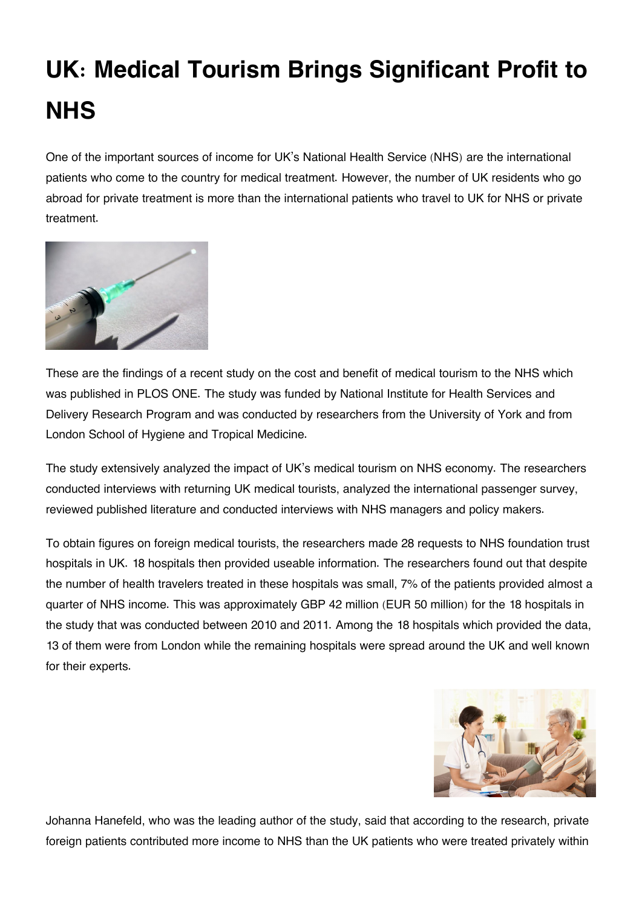## **UK: Medical Tourism Brings Significant Profit to NHS**

One of the important sources of income for UK's National Health Service (NHS) are the international patients who come to the country for medical treatment. However, the number of UK residents who go abroad for private treatment is more than the international patients who travel to UK for NHS or private treatment.



These are the findings of a recent study on the cost and benefit of medical tourism to the NHS which was published in PLOS ONE. The study was funded by National Institute for Health Services and Delivery Research Program and was conducted by researchers from the University of York and from London School of Hygiene and Tropical Medicine.

The study extensively analyzed the impact of UK's medical tourism on NHS economy. The researchers conducted interviews with returning UK medical tourists, analyzed the international passenger survey, reviewed published literature and conducted interviews with NHS managers and policy makers.

To obtain figures on foreign medical tourists, the researchers made 28 requests to NHS foundation trust hospitals in UK. 18 hospitals then provided useable information. The researchers found out that despite the number of health travelers treated in these hospitals was small, 7% of the patients provided almost a quarter of NHS income. This was approximately GBP 42 million (EUR 50 million) for the 18 hospitals in the study that was conducted between 2010 and 2011. Among the 18 hospitals which provided the data, 13 of them were from London while the remaining hospitals were spread around the UK and well known for their experts.



Johanna Hanefeld, who was the leading author of the study, said that according to the research, private foreign patients contributed more income to NHS than the UK patients who were treated privately within